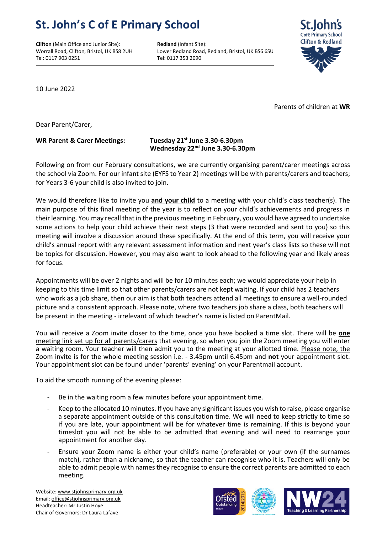## **St. John's C of E Primary School**

**Clifton** (Main Office and Junior Site): **Redland** (Infant Site): Tel: 0117 903 0251 Tel: 0117 353 2090

Worrall Road, Clifton, Bristol, UK BS8 2UH Lower Redland Road, Redland, Bristol, UK BS6 6SU



10 June 2022

Parents of children at **WR**

Dear Parent/Carer,

## **WR Parent & Carer Meetings: Tuesday 21st June 3.30-6.30pm Wednesday 22nd June 3.30-6.30pm**

Following on from our February consultations, we are currently organising parent/carer meetings across the school via Zoom. For our infant site (EYFS to Year 2) meetings will be with parents/carers and teachers; for Years 3-6 your child is also invited to join.

We would therefore like to invite you **and your child** to a meeting with your child's class teacher(s). The main purpose of this final meeting of the year is to reflect on your child's achievements and progress in their learning. You may recall that in the previous meeting in February, you would have agreed to undertake some actions to help your child achieve their next steps (3 that were recorded and sent to you) so this meeting will involve a discussion around these specifically. At the end of this term, you will receive your child's annual report with any relevant assessment information and next year's class lists so these will not be topics for discussion. However, you may also want to look ahead to the following year and likely areas for focus.

Appointments will be over 2 nights and will be for 10 minutes each; we would appreciate your help in keeping to this time limit so that other parents/carers are not kept waiting. If your child has 2 teachers who work as a job share, then our aim is that both teachers attend all meetings to ensure a well-rounded picture and a consistent approach. Please note, where two teachers job share a class, both teachers will be present in the meeting - irrelevant of which teacher's name is listed on ParentMail.

You will receive a Zoom invite closer to the time, once you have booked a time slot. There will be **one** meeting link set up for all parents/carers that evening, so when you join the Zoom meeting you will enter a waiting room. Your teacher will then admit you to the meeting at your allotted time. Please note, the Zoom invite is for the whole meeting session i.e. - 3.45pm until 6.45pm and **not** your appointment slot. Your appointment slot can be found under 'parents' evening' on your Parentmail account.

To aid the smooth running of the evening please:

- Be in the waiting room a few minutes before your appointment time.
- Keep to the allocated 10 minutes. If you have any significant issues you wish to raise, please organise a separate appointment outside of this consultation time. We will need to keep strictly to time so if you are late, your appointment will be for whatever time is remaining. If this is beyond your timeslot you will not be able to be admitted that evening and will need to rearrange your appointment for another day.
- Ensure your Zoom name is either your child's name (preferable) or your own (if the surnames match), rather than a nickname, so that the teacher can recognise who it is. Teachers will only be able to admit people with names they recognise to ensure the correct parents are admitted to each meeting.